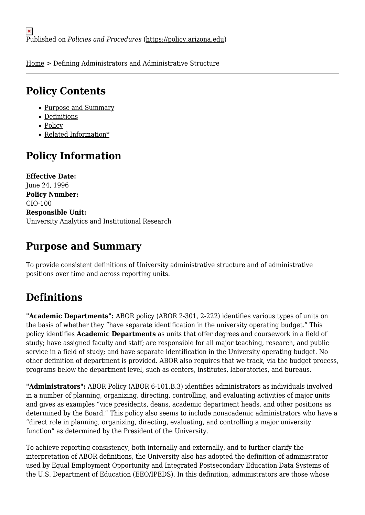[Home](https://policy.arizona.edu/) > Defining Administrators and Administrative Structure

## **Policy Contents**

- [Purpose and Summary](#page-0-0)
- [Definitions](#page-0-1)
- [Policy](#page-1-0)
- [Related Information\\*](#page-4-0)

# **Policy Information**

**Effective Date:**  June 24, 1996 **Policy Number:**  CIO-100 **Responsible Unit:**  University Analytics and Institutional Research

## <span id="page-0-0"></span>**Purpose and Summary**

To provide consistent definitions of University administrative structure and of administrative positions over time and across reporting units.

# <span id="page-0-1"></span>**Definitions**

"Academic Departments": ABOR policy (ABOR 2-301, 2-222) identifies various types of units on the basis of whether they "have separate identification in the university operating budget." This policy identifies **Academic Departments** as units that offer degrees and coursework in a field of study; have assigned faculty and staff; are responsible for all major teaching, research, and public service in a field of study; and have separate identification in the University operating budget. No other definition of department is provided. ABOR also requires that we track, via the budget process, programs below the department level, such as centers, institutes, laboratories, and bureaus.

**"Administrators":** ABOR Policy (ABOR 6-101.B.3) identifies administrators as individuals involved in a number of planning, organizing, directing, controlling, and evaluating activities of major units and gives as examples "vice presidents, deans, academic department heads, and other positions as determined by the Board." This policy also seems to include nonacademic administrators who have a "direct role in planning, organizing, directing, evaluating, and controlling a major university function" as determined by the President of the University.

To achieve reporting consistency, both internally and externally, and to further clarify the interpretation of ABOR definitions, the University also has adopted the definition of administrator used by Equal Employment Opportunity and Integrated Postsecondary Education Data Systems of the U.S. Department of Education (EEO/IPEDS). In this definition, administrators are those whose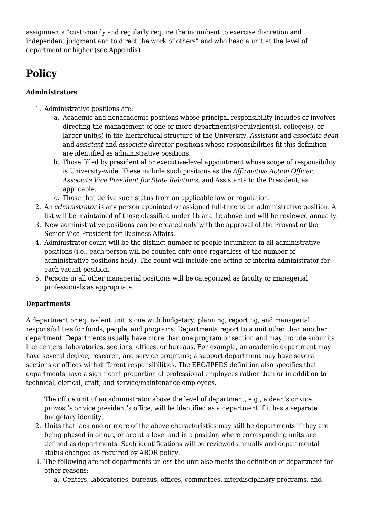assignments "customarily and regularly require the incumbent to exercise discretion and independent judgment and to direct the work of others" and who head a unit at the level of department or higher (see Appendix).

# <span id="page-1-0"></span>**Policy**

### **Administrators**

- 1. Administrative positions are:
	- a. Academic and nonacademic positions whose principal responsibility includes or involves directing the management of one or more department(s)/equivalent(s), college(s), or larger unit(s) in the hierarchical structure of the University. *Assistant* and *associate dean* and *assistant* and *associate director* positions whose responsibilities fit this definition are identified as administrative positions.
	- b. Those filled by presidential or executive-level appointment whose scope of responsibility is University-wide. These include such positions as the *Affirmative Action Officer, Associate Vice President for State Relations,* and Assistants to the President, as applicable.
	- c. Those that derive such status from an applicable law or regulation.
- 2. An *administrator* is any person appointed or assigned full-time to an administrative position. A list will be maintained of those classified under 1b and 1c above and will be reviewed annually.
- 3. New administrative positions can be created only with the approval of the Provost or the Senior Vice President for Business Affairs.
- 4. Administrator count will be the distinct number of people incumbent in all administrative positions (i.e., each person will be counted only once regardless of the number of administrative positions held). The count will include one acting or interim administrator for each vacant position.
- 5. Persons in all other managerial positions will be categorized as faculty or managerial professionals as appropriate.

### **Departments**

A department or equivalent unit is one with budgetary, planning, reporting, and managerial responsibilities for funds, people, and programs. Departments report to a unit other than another department. Departments usually have more than one program or section and may include subunits like centers, laboratories, sections, offices, or bureaus. For example, an academic department may have several degree, research, and service programs; a support department may have several sections or offices with different responsibilities. The EEO/IPEDS definition also specifies that departments have a significant proportion of professional employees rather than or in addition to technical, clerical, craft, and service/maintenance employees.

- 1. The office unit of an administrator above the level of department, e.g., a dean's or vice provost's or vice president's office, will be identified as a department if it has a separate budgetary identity.
- 2. Units that lack one or more of the above characteristics may still be departments if they are being phased in or out, or are at a level and in a position where corresponding units are defined as departments. Such identifications will be reviewed annually and departmental status changed as required by ABOR policy.
- 3. The following are not departments unless the unit also meets the definition of department for other reasons:
	- a. Centers, laboratories, bureaus, offices, committees, interdisciplinary programs, and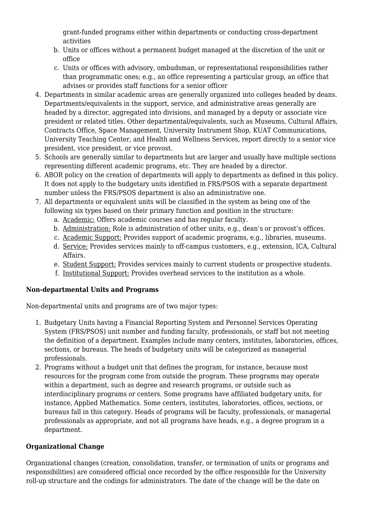grant-funded programs either within departments or conducting cross-department activities

- b. Units or offices without a permanent budget managed at the discretion of the unit or office
- c. Units or offices with advisory, ombudsman, or representational responsibilities rather than programmatic ones; e.g., an office representing a particular group, an office that advises or provides staff functions for a senior officer
- 4. Departments in similar academic areas are generally organized into colleges headed by deans. Departments/equivalents in the support, service, and administrative areas generally are headed by a director, aggregated into divisions, and managed by a deputy or associate vice president or related titles. Other departmental/equivalents, such as Museums, Cultural Affairs, Contracts Office, Space Management, University Instrument Shop, KUAT Communications, University Teaching Center, and Health and Wellness Services, report directly to a senior vice president, vice president, or vice provost.
- 5. Schools are generally similar to departments but are larger and usually have multiple sections representing different academic programs, etc. They are headed by a director.
- 6. ABOR policy on the creation of departments will apply to departments as defined in this policy. It does not apply to the budgetary units identified in FRS/PSOS with a separate department number unless the FRS/PSOS department is also an administrative one.
- 7. All departments or equivalent units will be classified in the system as being one of the following six types based on their primary function and position in the structure:
	- a. Academic: Offers academic courses and has regular faculty.
	- b. Administration: Role is administration of other units, e.g., dean's or provost's offices.
	- c. Academic Support: Provides support of academic programs, e.g., libraries, museums.
	- d. Service: Provides services mainly to off-campus customers, e.g., extension, ICA, Cultural Affairs.
	- e. Student Support: Provides services mainly to current students or prospective students.
	- f. Institutional Support: Provides overhead services to the institution as a whole.

#### **Non-departmental Units and Programs**

Non-departmental units and programs are of two major types:

- 1. Budgetary Units having a Financial Reporting System and Personnel Services Operating System (FRS/PSOS) unit number and funding faculty, professionals, or staff but not meeting the definition of a department. Examples include many centers, institutes, laboratories, offices, sections, or bureaus. The heads of budgetary units will be categorized as managerial professionals.
- 2. Programs without a budget unit that defines the program, for instance, because most resources for the program come from outside the program. These programs may operate within a department, such as degree and research programs, or outside such as interdisciplinary programs or centers. Some programs have affiliated budgetary units, for instance, Applied Mathematics. Some centers, institutes, laboratories, offices, sections, or bureaus fall in this category. Heads of programs will be faculty, professionals, or managerial professionals as appropriate, and not all programs have heads, e.g., a degree program in a department.

### **Organizational Change**

Organizational changes (creation, consolidation, transfer, or termination of units or programs and responsibilities) are considered official once recorded by the office responsible for the University roll-up structure and the codings for administrators. The date of the change will be the date on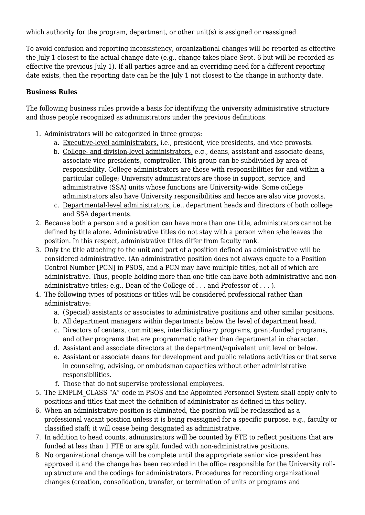which authority for the program, department, or other unit(s) is assigned or reassigned.

To avoid confusion and reporting inconsistency, organizational changes will be reported as effective the July 1 closest to the actual change date (e.g., change takes place Sept. 6 but will be recorded as effective the previous July 1). If all parties agree and an overriding need for a different reporting date exists, then the reporting date can be the July 1 not closest to the change in authority date.

#### **Business Rules**

The following business rules provide a basis for identifying the university administrative structure and those people recognized as administrators under the previous definitions.

- 1. Administrators will be categorized in three groups:
	- a. Executive-level administrators, i.e., president, vice presidents, and vice provosts.
	- b. College- and division-level administrators, e.g., deans, assistant and associate deans, associate vice presidents, comptroller. This group can be subdivided by area of responsibility. College administrators are those with responsibilities for and within a particular college; University administrators are those in support, service, and administrative (SSA) units whose functions are University-wide. Some college administrators also have University responsibilities and hence are also vice provosts.
	- c. Departmental-level administrators, i.e., department heads and directors of both college and SSA departments.
- 2. Because both a person and a position can have more than one title, administrators cannot be defined by title alone. Administrative titles do not stay with a person when s/he leaves the position. In this respect, administrative titles differ from faculty rank.
- 3. Only the title attaching to the unit and part of a position defined as administrative will be considered administrative. (An administrative position does not always equate to a Position Control Number [PCN] in PSOS, and a PCN may have multiple titles, not all of which are administrative. Thus, people holding more than one title can have both administrative and nonadministrative titles; e.g., Dean of the College of . . . and Professor of . . . ).
- 4. The following types of positions or titles will be considered professional rather than administrative:
	- a. (Special) assistants or associates to administrative positions and other similar positions.
	- b. All department managers within departments below the level of department head.
	- c. Directors of centers, committees, interdisciplinary programs, grant-funded programs, and other programs that are programmatic rather than departmental in character.
	- d. Assistant and associate directors at the department/equivalent unit level or below.
	- e. Assistant or associate deans for development and public relations activities or that serve in counseling, advising, or ombudsman capacities without other administrative responsibilities.
	- f. Those that do not supervise professional employees.
- 5. The EMPLM\_CLASS "A" code in PSOS and the Appointed Personnel System shall apply only to positions and titles that meet the definition of administrator as defined in this policy.
- 6. When an administrative position is eliminated, the position will be reclassified as a professional vacant position unless it is being reassigned for a specific purpose. e.g., faculty or classified staff; it will cease being designated as administrative.
- 7. In addition to head counts, administrators will be counted by FTE to reflect positions that are funded at less than 1 FTE or are split funded with non-administrative positions.
- 8. No organizational change will be complete until the appropriate senior vice president has approved it and the change has been recorded in the office responsible for the University rollup structure and the codings for administrators. Procedures for recording organizational changes (creation, consolidation, transfer, or termination of units or programs and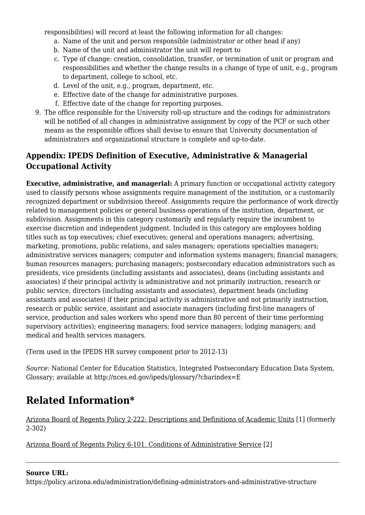responsibilities) will record at least the following information for all changes:

- a. Name of the unit and person responsible (administrator or other head if any)
- b. Name of the unit and administrator the unit will report to
- c. Type of change: creation, consolidation, transfer, or termination of unit or program and responsibilities and whether the change results in a change of type of unit, e.g., program to department, college to school, etc.
- d. Level of the unit, e.g., program, department, etc.
- e. Effective date of the change for administrative purposes.
- f. Effective date of the change for reporting purposes.
- 9. The office responsible for the University roll-up structure and the codings for administrators will be notified of all changes in administrative assignment by copy of the PCF or such other means as the responsible offices shall devise to ensure that University documentation of administrators and organizational structure is complete and up-to-date.

### **Appendix: IPEDS Definition of Executive, Administrative & Managerial Occupational Activity**

**Executive, administrative, and managerial:** A primary function or occupational activity category used to classify persons whose assignments require management of the institution, or a customarily recognized department or subdivision thereof. Assignments require the performance of work directly related to management policies or general business operations of the institution, department, or subdivision. Assignments in this category customarily and regularly require the incumbent to exercise discretion and independent judgment. Included in this category are employees holding titles such as top executives; chief executives; general and operations managers; advertising, marketing, promotions, public relations, and sales managers; operations specialties managers; administrative services managers; computer and information systems managers; financial managers; human resources managers; purchasing managers; postsecondary education administrators such as presidents, vice presidents (including assistants and associates), deans (including assistants and associates) if their principal activity is administrative and not primarily instruction, research or public service, directors (including assistants and associates), department heads (including assistants and associates) if their principal activity is administrative and not primarily instruction, research or public service, assistant and associate managers (including first-line managers of service, production and sales workers who spend more than 80 percent of their time performing supervisory activities); engineering managers; food service managers; lodging managers; and medical and health services managers.

(Term used in the IPEDS HR survey component prior to 2012-13)

*Source:* National Center for Education Statistics, Integrated Postsecondary Education Data System, Glossary; available at http://nces.ed.gov/ipeds/glossary/?charindex=E

# <span id="page-4-0"></span>**Related Information\***

[Arizona Board of Regents Policy 2-222: Descriptions and Definitions of Academic Units](https://public.azregents.edu/Policy%20Manual/2-222-Descriptions%20and%20Definitions%20of%20Academic%20Units.pdf) [1] (formerly 2-302)

[Arizona Board of Regents Policy 6-101. Conditions of Administrative Service](https://public.azregents.edu/Policy%20Manual/6-101-Conditions%20of%20Administrative%20Service.pdf) [2]

### **Source URL:**

https://policy.arizona.edu/administration/defining-administrators-and-administrative-structure